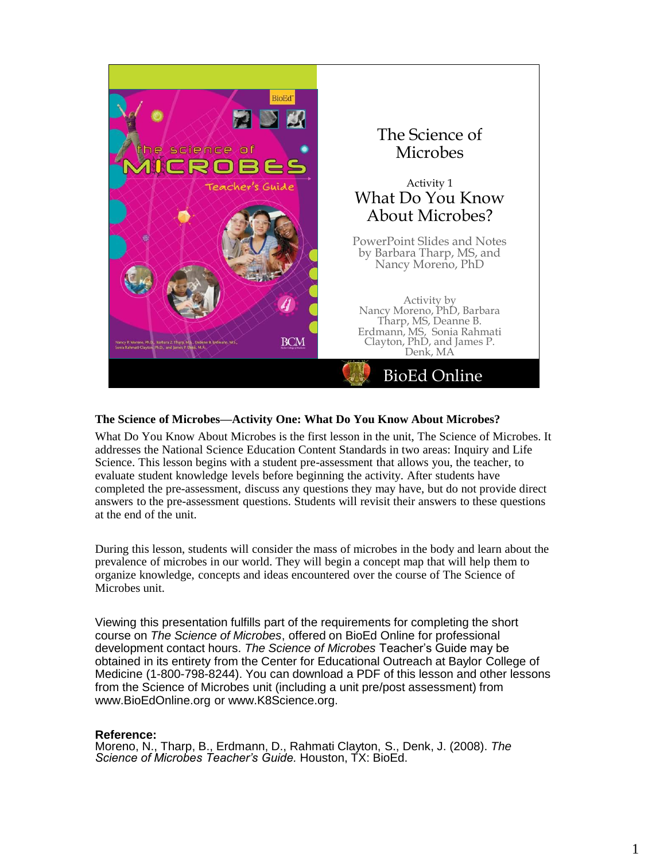

# **The Science of Microbes—Activity One: What Do You Know About Microbes?**

What Do You Know About Microbes is the first lesson in the unit, The Science of Microbes. It addresses the National Science Education Content Standards in two areas: Inquiry and Life Science. This lesson begins with a student pre-assessment that allows you, the teacher, to evaluate student knowledge levels before beginning the activity. After students have completed the pre-assessment, discuss any questions they may have, but do not provide direct answers to the pre-assessment questions. Students will revisit their answers to these questions at the end of the unit.

During this lesson, students will consider the mass of microbes in the body and learn about the prevalence of microbes in our world. They will begin a concept map that will help them to organize knowledge, concepts and ideas encountered over the course of The Science of Microbes unit.

Viewing this presentation fulfills part of the requirements for completing the short course on *The Science of Microbes*, offered on BioEd Online for professional development contact hours. *The Science of Microbes* Teacher's Guide may be obtained in its entirety from the Center for Educational Outreach at Baylor College of Medicine (1-800-798-8244). You can download a PDF of this lesson and other lessons from the Science of Microbes unit (including a unit pre/post assessment) from www.BioEdOnline.org or www.K8Science.org.

# **Reference:**

Moreno, N., Tharp, B., Erdmann, D., Rahmati Clayton, S., Denk, J. (2008). *The Science of Microbes Teacher's Guide.* Houston, TX: BioEd.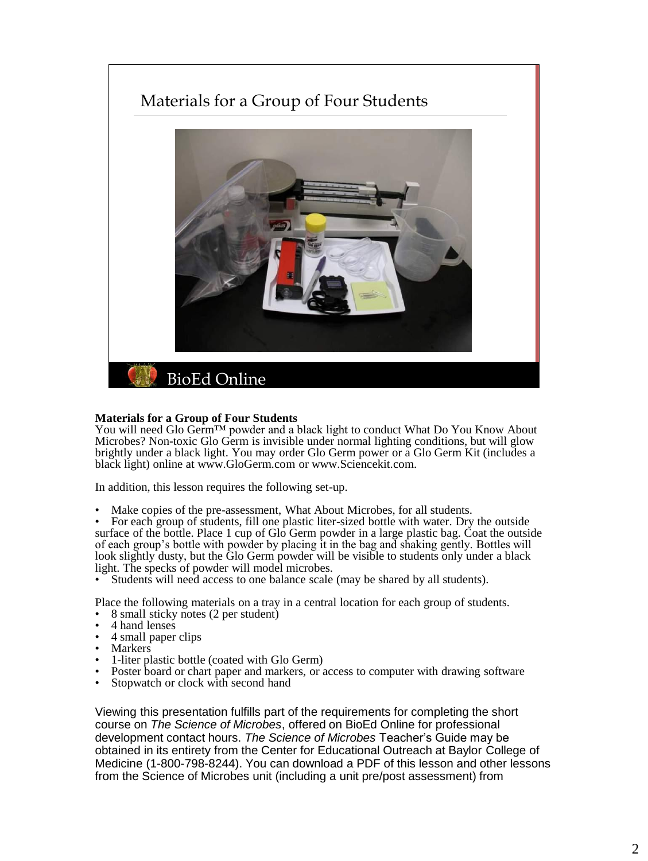# Materials for a Group of Four Students



### **Materials for a Group of Four Students**

You will need Glo Germ™ powder and a black light to conduct What Do You Know About Microbes? Non-toxic Glo Germ is invisible under normal lighting conditions, but will glow brightly under a black light. You may order Glo Germ power or a Glo Germ Kit (includes a black light) online at www.GloGerm.com or www.Sciencekit.com.

In addition, this lesson requires the following set-up.

Make copies of the pre-assessment, What About Microbes, for all students.

• For each group of students, fill one plastic liter-sized bottle with water. Dry the outside surface of the bottle. Place 1 cup of Glo Germ powder in a large plastic bag. Coat the outside of each group's bottle with powder by placing it in the bag and shaking gently. Bottles will look slightly dusty, but the Glo Germ powder will be visible to students only under a black light. The specks of powder will model microbes.

Students will need access to one balance scale (may be shared by all students).

Place the following materials on a tray in a central location for each group of students. • 8 small sticky notes (2 per student)

- 4 hand lenses
- 4 small paper clips
- **Markers**
- 1-liter plastic bottle (coated with Glo Germ)
- Poster board or chart paper and markers, or access to computer with drawing software<br>• Stopwatch or clock with second hand
- Stopwatch or clock with second hand

Viewing this presentation fulfills part of the requirements for completing the short course on *The Science of Microbes*, offered on BioEd Online for professional development contact hours. *The Science of Microbes* Teacher's Guide may be obtained in its entirety from the Center for Educational Outreach at Baylor College of Medicine (1-800-798-8244). You can download a PDF of this lesson and other lessons from the Science of Microbes unit (including a unit pre/post assessment) from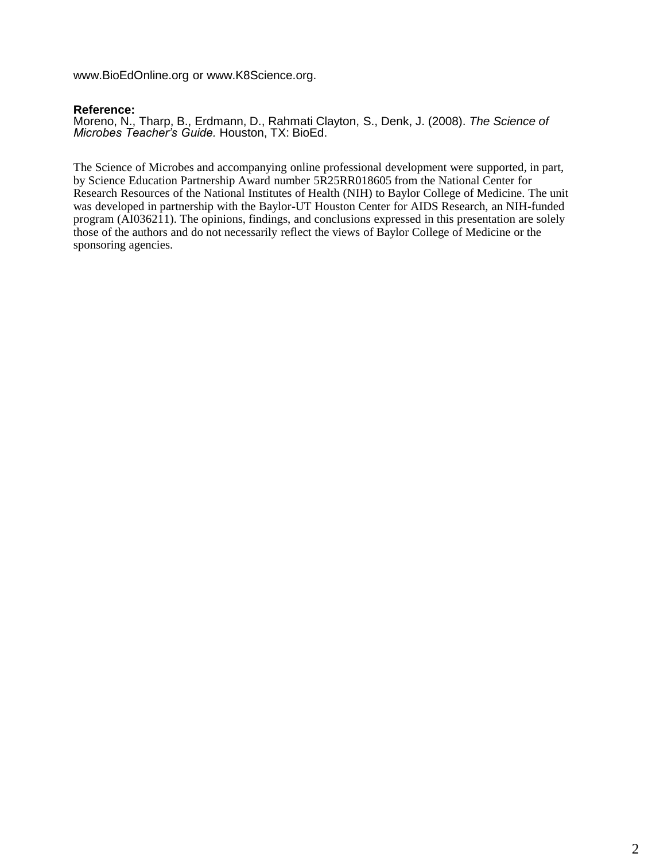www.BioEdOnline.org or www.K8Science.org.

# **Reference:**

Moreno, N., Tharp, B., Erdmann, D., Rahmati Clayton, S., Denk, J. (2008). *The Science of Microbes Teacher's Guide.* Houston, TX: BioEd.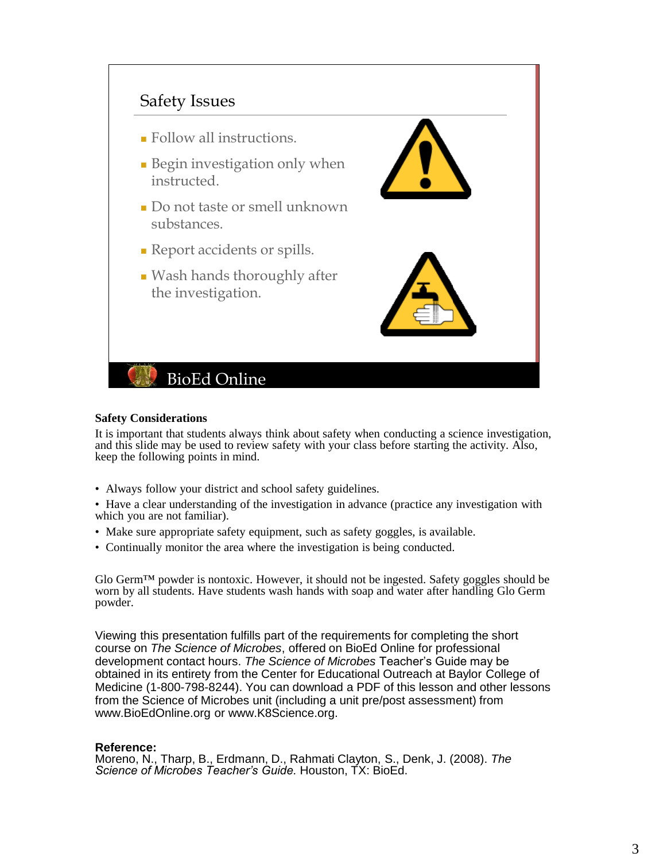

### **Safety Considerations**

It is important that students always think about safety when conducting a science investigation, and this slide may be used to review safety with your class before starting the activity. Also, keep the following points in mind.

- Always follow your district and school safety guidelines.
- Have a clear understanding of the investigation in advance (practice any investigation with which you are not familiar).
- Make sure appropriate safety equipment, such as safety goggles, is available.
- Continually monitor the area where the investigation is being conducted.

Glo Germ<sup> $TM$ </sup> powder is nontoxic. However, it should not be ingested. Safety goggles should be worn by all students. Have students wash hands with soap and water after handling Glo Germ powder.

Viewing this presentation fulfills part of the requirements for completing the short course on *The Science of Microbes*, offered on BioEd Online for professional development contact hours. *The Science of Microbes* Teacher's Guide may be obtained in its entirety from the Center for Educational Outreach at Baylor College of Medicine (1-800-798-8244). You can download a PDF of this lesson and other lessons from the Science of Microbes unit (including a unit pre/post assessment) from www.BioEdOnline.org or www.K8Science.org.

# **Reference:**

Moreno, N., Tharp, B., Erdmann, D., Rahmati Clayton, S., Denk, J. (2008). *The Science of Microbes Teacher's Guide.* Houston, TX: BioEd.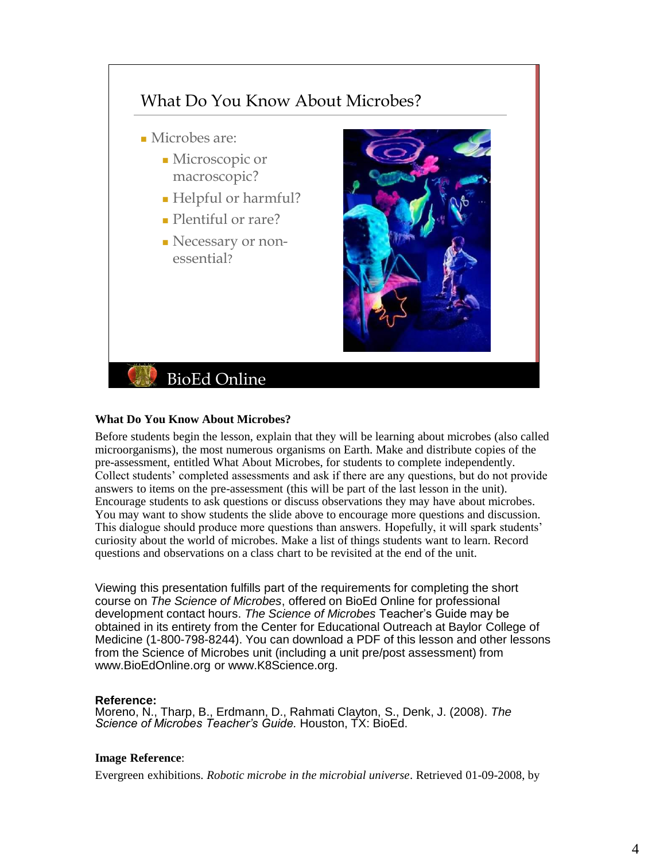

# **What Do You Know About Microbes?**

Before students begin the lesson, explain that they will be learning about microbes (also called microorganisms), the most numerous organisms on Earth. Make and distribute copies of the pre-assessment, entitled What About Microbes, for students to complete independently. Collect students' completed assessments and ask if there are any questions, but do not provide answers to items on the pre-assessment (this will be part of the last lesson in the unit). Encourage students to ask questions or discuss observations they may have about microbes. You may want to show students the slide above to encourage more questions and discussion. This dialogue should produce more questions than answers. Hopefully, it will spark students' curiosity about the world of microbes. Make a list of things students want to learn. Record questions and observations on a class chart to be revisited at the end of the unit.

Viewing this presentation fulfills part of the requirements for completing the short course on *The Science of Microbes*, offered on BioEd Online for professional development contact hours. *The Science of Microbes* Teacher's Guide may be obtained in its entirety from the Center for Educational Outreach at Baylor College of Medicine (1-800-798-8244). You can download a PDF of this lesson and other lessons from the Science of Microbes unit (including a unit pre/post assessment) from www.BioEdOnline.org or www.K8Science.org.

# **Reference:**

Moreno, N., Tharp, B., Erdmann, D., Rahmati Clayton, S., Denk, J. (2008). *The Science of Microbes Teacher's Guide.* Houston, TX: BioEd.

# **Image Reference**:

Evergreen exhibitions. *Robotic microbe in the microbial universe*. Retrieved 01-09-2008, by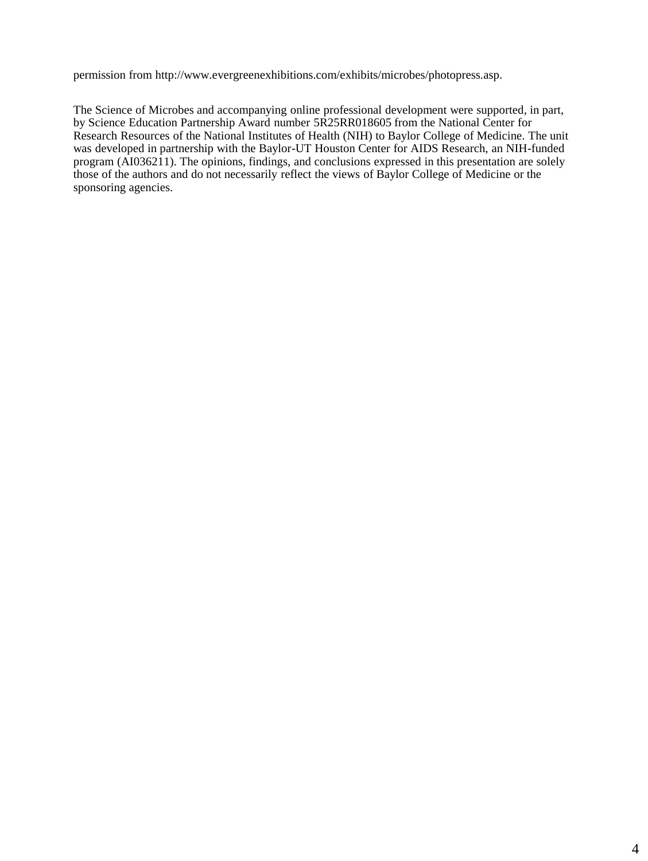permission from http://www.evergreenexhibitions.com/exhibits/microbes/photopress.asp.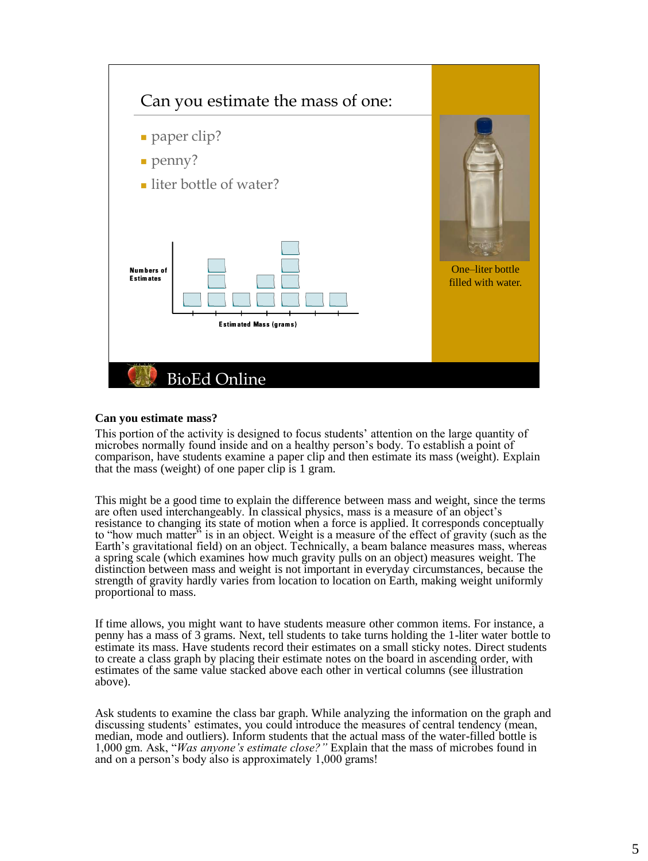

### **Can you estimate mass?**

This portion of the activity is designed to focus students' attention on the large quantity of microbes normally found inside and on a healthy person's body. To establish a point of comparison, have students examine a paper clip and then estimate its mass (weight). Explain that the mass (weight) of one paper clip is 1 gram.

This might be a good time to explain the difference between mass and weight, since the terms are often used interchangeably. In classical physics, mass is a measure of an object's resistance to changing its state of motion when a force is applied. It corresponds conceptually to "how much matter" is in an object. Weight is a measure of the effect of gravity (such as the Earth's gravitational field) on an object. Technically, a beam balance measures mass, whereas a spring scale (which examines how much gravity pulls on an object) measures weight. The distinction between mass and weight is not important in everyday circumstances, because the strength of gravity hardly varies from location to location on Earth, making weight uniformly proportional to mass.

If time allows, you might want to have students measure other common items. For instance, a penny has a mass of 3 grams. Next, tell students to take turns holding the 1-liter water bottle to estimate its mass. Have students record their estimates on a small sticky notes. Direct students to create a class graph by placing their estimate notes on the board in ascending order, with estimates of the same value stacked above each other in vertical columns (see illustration above).

Ask students to examine the class bar graph. While analyzing the information on the graph and discussing students' estimates, you could introduce the measures of central tendency (mean, median, mode and outliers). Inform students that the actual mass of the water-filled bottle is 1,000 gm. Ask, "*Was anyone's estimate close?"* Explain that the mass of microbes found in and on a person's body also is approximately 1,000 grams!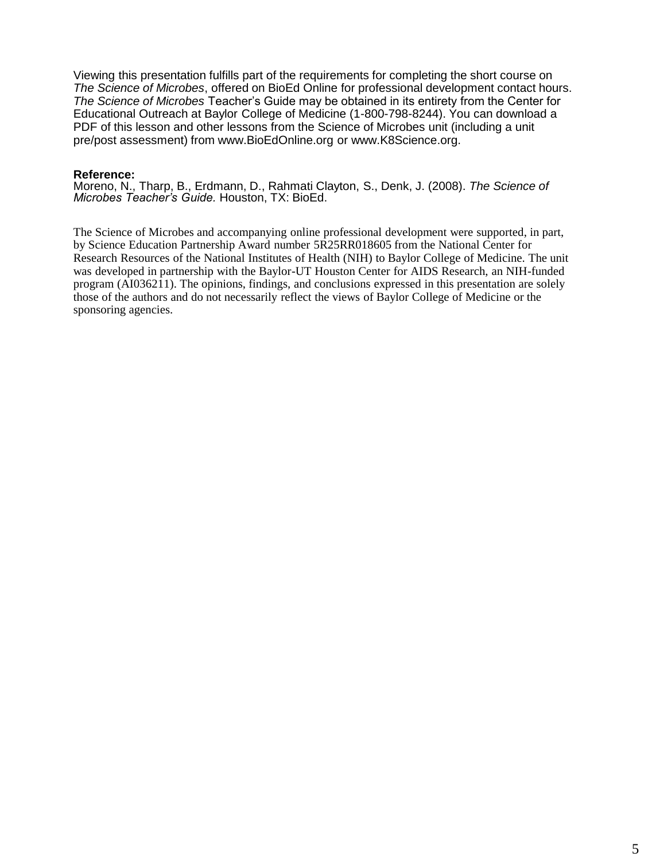Viewing this presentation fulfills part of the requirements for completing the short course on *The Science of Microbes*, offered on BioEd Online for professional development contact hours. *The Science of Microbes* Teacher's Guide may be obtained in its entirety from the Center for Educational Outreach at Baylor College of Medicine (1-800-798-8244). You can download a PDF of this lesson and other lessons from the Science of Microbes unit (including a unit pre/post assessment) from www.BioEdOnline.org or www.K8Science.org.

### **Reference:**

Moreno, N., Tharp, B., Erdmann, D., Rahmati Clayton, S., Denk, J. (2008). *The Science of Microbes Teacher's Guide.* Houston, TX: BioEd.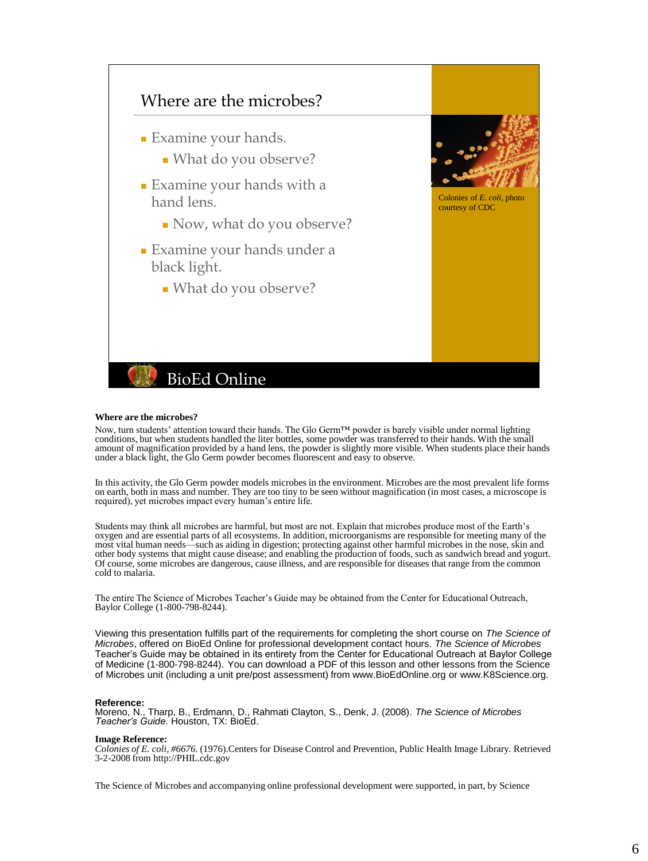

#### **Where are the microbes?**

Now, turn students' attention toward their hands. The Glo Germ<sup>™</sup> powder is barely visible under normal lighting conditions, but when students handled the liter bottles, some powder was transferred to their hands. With the small amount of magnification provided by a hand lens, the powder is slightly more visible. When students place their hands under a black light, the Glo Germ powder becomes fluorescent and easy to observe.

In this activity, the Glo Germ powder models microbes in the environment. Microbes are the most prevalent life forms on earth, both in mass and number. They are too tiny to be seen without magnification (in most cases, a microscope is required), yet microbes impact every human's entire life.

Students may think all microbes are harmful, but most are not. Explain that microbes produce most of the Earth's oxygen and are essential parts of all ecosystems. In addition, microorganisms are responsible for meeting many of the most vital human needs—such as aiding in digestion; protecting against other harmful microbes in the nose, skin and<br>other body systems that might cause disease; and enabling the production of foods, such as sandwich bread Of course, some microbes are dangerous, cause illness, and are responsible for diseases that range from the common cold to malaria.

The entire The Science of Microbes Teacher's Guide may be obtained from the Center for Educational Outreach, Baylor College (1-800-798-8244).

Viewing this presentation fulfills part of the requirements for completing the short course on *The Science of Microbes*, offered on BioEd Online for professional development contact hours. *The Science of Microbes*  Teacher's Guide may be obtained in its entirety from the Center for Educational Outreach at Baylor College of Medicine (1-800-798-8244). You can download a PDF of this lesson and other lessons from the Science of Microbes unit (including a unit pre/post assessment) from www.BioEdOnline.org or www.K8Science.org.

#### **Reference:**

Moreno, N., Tharp, B., Erdmann, D., Rahmati Clayton, S., Denk, J. (2008). *The Science of Microbes Teacher's Guide.* Houston, TX: BioEd.

#### **Image Reference:**

*Colonies of E. coli, #6676.* (1976).Centers for Disease Control and Prevention, Public Health Image Library. Retrieved 3-2-2008 from http://PHIL.cdc.gov

The Science of Microbes and accompanying online professional development were supported, in part, by Science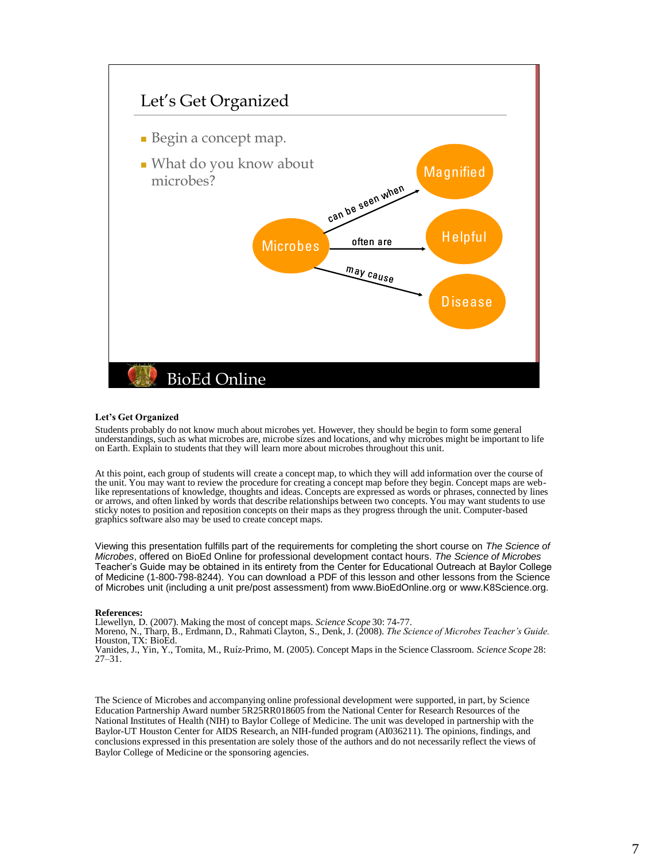

#### **Let's Get Organized**

Students probably do not know much about microbes yet. However, they should be begin to form some general understandings, such as what microbes are, microbe sizes and locations, and why microbes might be important to life on Earth. Explain to students that they will learn more about microbes throughout this unit.

At this point, each group of students will create a concept map, to which they will add information over the course of the unit. You may want to review the procedure for creating a concept map before they begin. Concept maps are weblike representations of knowledge, thoughts and ideas. Concepts are expressed as words or phrases, connected by lines or arrows, and often linked by words that describe relationships between two concepts. You may want students to use sticky notes to position and reposition concepts on their maps as they progress through the unit. Computer-based graphics software also may be used to create concept maps.

Viewing this presentation fulfills part of the requirements for completing the short course on *The Science of Microbes*, offered on BioEd Online for professional development contact hours. *The Science of Microbes*  Teacher's Guide may be obtained in its entirety from the Center for Educational Outreach at Baylor College of Medicine (1-800-798-8244). You can download a PDF of this lesson and other lessons from the Science of Microbes unit (including a unit pre/post assessment) from www.BioEdOnline.org or www.K8Science.org.

#### **References:**

Llewellyn, D. (2007). Making the most of concept maps. *Science Scope* 30: 74-77.

Moreno, N., Tharp, B., Erdmann, D., Rahmati Clayton, S., Denk, J. (2008). *The Science of Microbes Teacher's Guide.* Houston, TX: BioEd.

Vanides, J., Yin, Y., Tomita, M., Ruíz-Primo, M. (2005). Concept Maps in the Science Classroom. *Science Scope* 28: 27–31.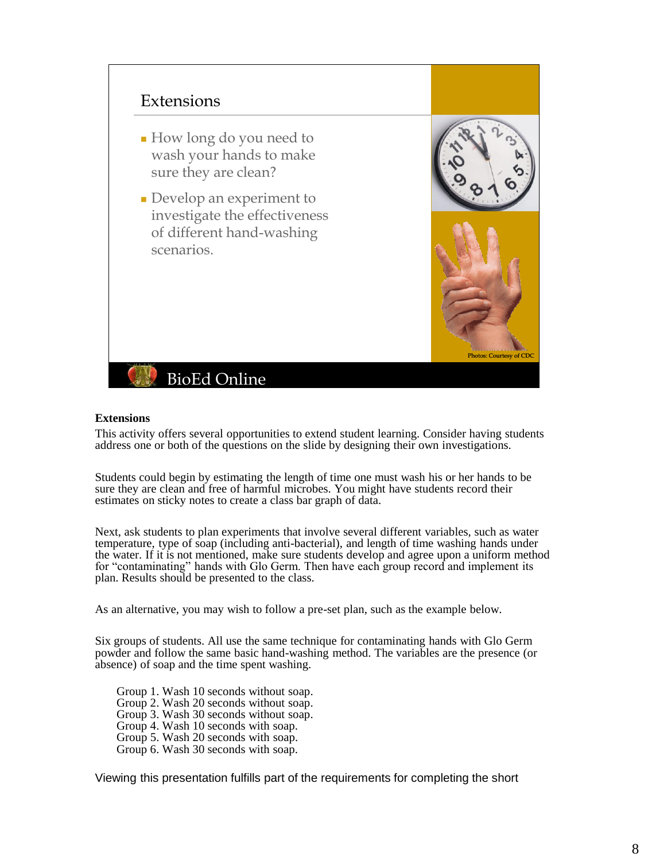

### **Extensions**

This activity offers several opportunities to extend student learning. Consider having students address one or both of the questions on the slide by designing their own investigations.

Students could begin by estimating the length of time one must wash his or her hands to be sure they are clean and free of harmful microbes. You might have students record their estimates on sticky notes to create a class bar graph of data.

Next, ask students to plan experiments that involve several different variables, such as water temperature, type of soap (including anti-bacterial), and length of time washing hands under the water. If it is not mentioned, make sure students develop and agree upon a uniform method for "contaminating" hands with Glo Germ. Then have each group record and implement its plan. Results should be presented to the class.

As an alternative, you may wish to follow a pre-set plan, such as the example below.

Six groups of students. All use the same technique for contaminating hands with Glo Germ powder and follow the same basic hand-washing method. The variables are the presence (or absence) of soap and the time spent washing.

Group 1. Wash 10 seconds without soap. Group 2. Wash 20 seconds without soap. Group 3. Wash 30 seconds without soap. Group 4. Wash 10 seconds with soap. Group 5. Wash 20 seconds with soap. Group 6. Wash 30 seconds with soap.

Viewing this presentation fulfills part of the requirements for completing the short